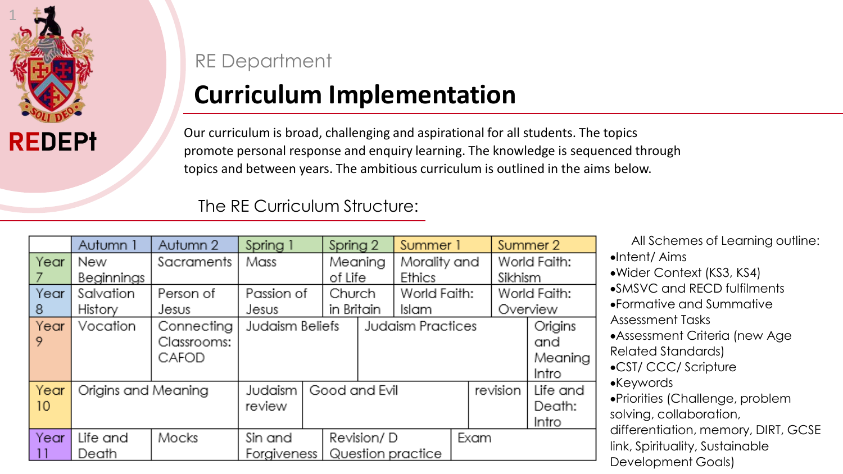

## RE Department

## **Curriculum Implementation**

Our curriculum is broad, challenging and aspirational for all students. The topics promote personal response and enquiry learning. The knowledge is sequenced through topics and between years. The ambitious curriculum is outlined in the aims below.

The RE Curriculum Structure:

|      | Autumn 1            | Autumn 2    | Spring 1        |                   | Spring 2          |                     | Summer 1     |          |  | Summer 2     |          |
|------|---------------------|-------------|-----------------|-------------------|-------------------|---------------------|--------------|----------|--|--------------|----------|
| Year | New                 | Sacraments  | Mass            |                   | Meaning           |                     | Morality and |          |  | World Faith: |          |
|      | Beginnings          |             |                 |                   | of Life           |                     | Ethics       |          |  | Sikhism      |          |
| Year | Salvation           | Person of   | Passion of      |                   | Church            |                     | World Faith: |          |  | World Faith: |          |
| 8    | History             | Jesus       | Jesus           |                   |                   | in Britain<br>Islam |              |          |  |              | Overview |
| Year | Vocation            | Connecting  | Judaism Beliefs |                   | Judaism Practices |                     |              |          |  | Origins      |          |
| 9    |                     | Classrooms: |                 |                   |                   |                     |              |          |  | and          |          |
|      |                     | CAFOD       |                 |                   |                   |                     |              |          |  |              | Meaning  |
|      |                     |             |                 |                   |                   |                     |              |          |  |              | Intro    |
| Year | Origins and Meaning |             | Judaism         | Good and Evil     |                   |                     |              | revision |  | Life and     |          |
| 10   |                     |             | review          |                   |                   |                     |              |          |  | Death:       |          |
|      |                     |             |                 |                   |                   |                     |              |          |  |              | Intro    |
| Year | Life and            | Mocks       | Sin and         |                   | Revision/D        |                     |              | Exam     |  |              |          |
|      | Death               |             | Forgiveness     | Question practice |                   |                     |              |          |  |              |          |

All Schemes of Learning outline:

- •Intent/ Aims
- Wider Context (KS3, KS4)
- SMSVC and RECD fulfilments
- Formative and Summative Assessment Tasks
- Assessment Criteria (new Age Related Standards)
- CST/ CCC/ Scripture
- Keywords
- Priorities (Challenge, problem solving, collaboration,

differentiation, memory, DIRT, GCSE link, Spirituality, Sustainable Development Goals)